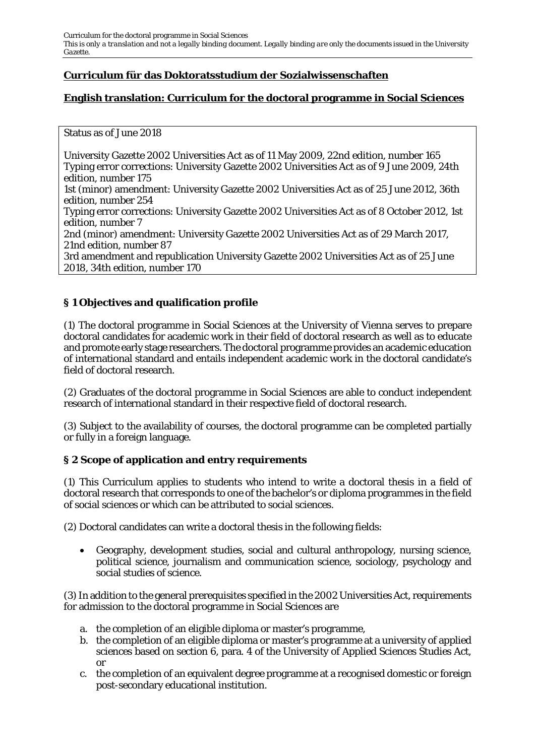# **Curriculum für das Doktoratsstudium der Sozialwissenschaften**

# **English translation: Curriculum for the doctoral programme in Social Sciences**

#### Status as of June 2018

University Gazette 2002 Universities Act as of 11 May 2009, 22nd edition, number 165 Typing error corrections: University Gazette 2002 Universities Act as of 9 June 2009, 24th edition, number 175 1st (minor) amendment: University Gazette 2002 Universities Act as of 25 June 2012, 36th edition, number 254 Typing error corrections: University Gazette 2002 Universities Act as of 8 October 2012, 1st edition, number 7 2nd (minor) amendment: University Gazette 2002 Universities Act as of 29 March 2017, 21nd edition, number 87 3rd amendment and republication University Gazette 2002 Universities Act as of 25 June 2018, 34th edition, number 170

# **§ 1 Objectives and qualification profile**

(1) The doctoral programme in Social Sciences at the University of Vienna serves to prepare doctoral candidates for academic work in their field of doctoral research as well as to educate and promote early stage researchers. The doctoral programme provides an academic education of international standard and entails independent academic work in the doctoral candidate's field of doctoral research.

(2) Graduates of the doctoral programme in Social Sciences are able to conduct independent research of international standard in their respective field of doctoral research.

(3) Subject to the availability of courses, the doctoral programme can be completed partially or fully in a foreign language.

### **§ 2 Scope of application and entry requirements**

(1) This Curriculum applies to students who intend to write a doctoral thesis in a field of doctoral research that corresponds to one of the bachelor's or diploma programmes in the field of social sciences or which can be attributed to social sciences.

(2) Doctoral candidates can write a doctoral thesis in the following fields:

• Geography, development studies, social and cultural anthropology, nursing science, political science, journalism and communication science, sociology, psychology and social studies of science.

(3) In addition to the general prerequisites specified in the 2002 Universities Act, requirements for admission to the doctoral programme in Social Sciences are

- a. the completion of an eligible diploma or master's programme,
- b. the completion of an eligible diploma or master's programme at a university of applied sciences based on section 6, para. 4 of the University of Applied Sciences Studies Act, or
- c. the completion of an equivalent degree programme at a recognised domestic or foreign post-secondary educational institution.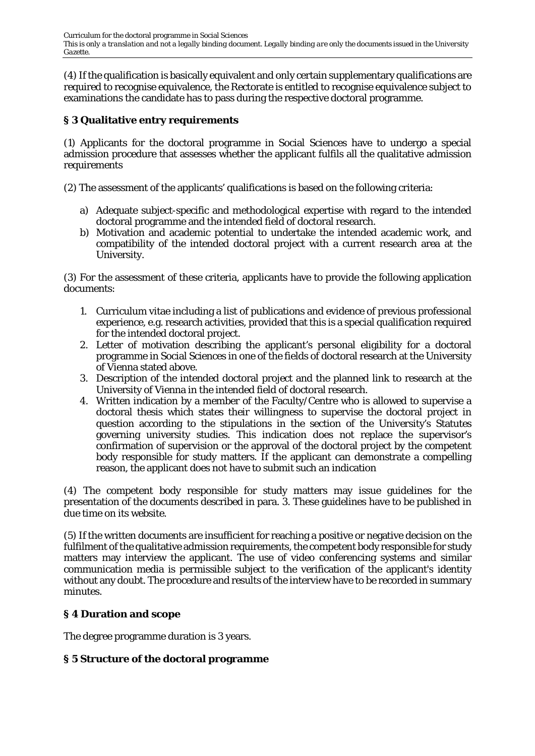(4) If the qualification is basically equivalent and only certain supplementary qualifications are required to recognise equivalence, the Rectorate is entitled to recognise equivalence subject to examinations the candidate has to pass during the respective doctoral programme.

## **§ 3 Qualitative entry requirements**

(1) Applicants for the doctoral programme in Social Sciences have to undergo a special admission procedure that assesses whether the applicant fulfils all the qualitative admission requirements

(2) The assessment of the applicants' qualifications is based on the following criteria:

- a) Adequate subject-specific and methodological expertise with regard to the intended doctoral programme and the intended field of doctoral research.
- b) Motivation and academic potential to undertake the intended academic work, and compatibility of the intended doctoral project with a current research area at the University.

(3) For the assessment of these criteria, applicants have to provide the following application documents:

- 1. Curriculum vitae including a list of publications and evidence of previous professional experience, e.g. research activities, provided that this is a special qualification required for the intended doctoral project.
- 2. Letter of motivation describing the applicant's personal eligibility for a doctoral programme in Social Sciences in one of the fields of doctoral research at the University of Vienna stated above.
- 3. Description of the intended doctoral project and the planned link to research at the University of Vienna in the intended field of doctoral research.
- 4. Written indication by a member of the Faculty/Centre who is allowed to supervise a doctoral thesis which states their willingness to supervise the doctoral project in question according to the stipulations in the section of the University's Statutes governing university studies. This indication does not replace the supervisor's confirmation of supervision or the approval of the doctoral project by the competent body responsible for study matters. If the applicant can demonstrate a compelling reason, the applicant does not have to submit such an indication

(4) The competent body responsible for study matters may issue guidelines for the presentation of the documents described in para. 3. These guidelines have to be published in due time on its website.

(5) If the written documents are insufficient for reaching a positive or negative decision on the fulfilment of the qualitative admission requirements, the competent body responsible for study matters may interview the applicant. The use of video conferencing systems and similar communication media is permissible subject to the verification of the applicant's identity without any doubt. The procedure and results of the interview have to be recorded in summary minutes.

## **§ 4 Duration and scope**

The degree programme duration is 3 years.

## **§ 5 Structure of the doctoral programme**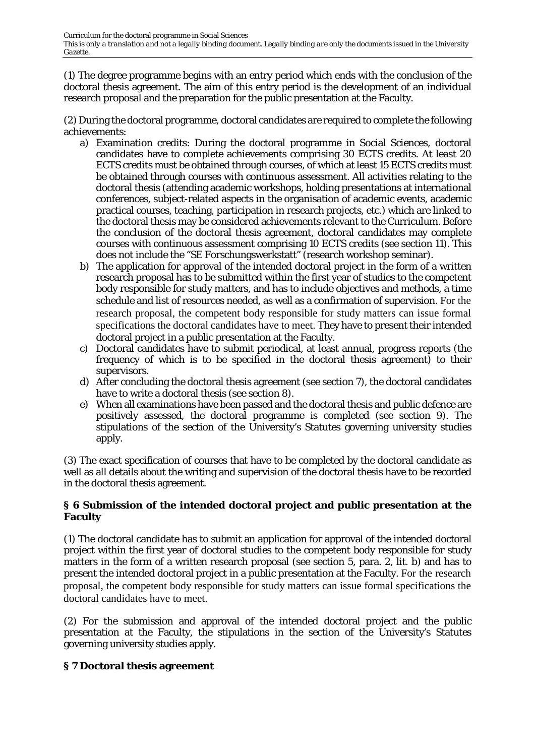(1) The degree programme begins with an entry period which ends with the conclusion of the doctoral thesis agreement. The aim of this entry period is the development of an individual research proposal and the preparation for the public presentation at the Faculty.

(2) During the doctoral programme, doctoral candidates are required to complete the following achievements:

- a) Examination credits: During the doctoral programme in Social Sciences, doctoral candidates have to complete achievements comprising 30 ECTS credits. At least 20 ECTS credits must be obtained through courses, of which at least 15 ECTS credits must be obtained through courses with continuous assessment. All activities relating to the doctoral thesis (attending academic workshops, holding presentations at international conferences, subject-related aspects in the organisation of academic events, academic practical courses, teaching, participation in research projects, etc.) which are linked to the doctoral thesis may be considered achievements relevant to the Curriculum. Before the conclusion of the doctoral thesis agreement, doctoral candidates may complete courses with continuous assessment comprising 10 ECTS credits (see section 11). This does not include the "SE Forschungswerkstatt" (research workshop seminar).
- b) The application for approval of the intended doctoral project in the form of a written research proposal has to be submitted within the first year of studies to the competent body responsible for study matters, and has to include objectives and methods, a time schedule and list of resources needed, as well as a confirmation of supervision. For the research proposal, the competent body responsible for study matters can issue formal specifications the doctoral candidates have to meet. They have to present their intended doctoral project in a public presentation at the Faculty.
- c) Doctoral candidates have to submit periodical, at least annual, progress reports (the frequency of which is to be specified in the doctoral thesis agreement) to their supervisors.
- d) After concluding the doctoral thesis agreement (see section 7), the doctoral candidates have to write a doctoral thesis (see section 8).
- e) When all examinations have been passed and the doctoral thesis and public defence are positively assessed, the doctoral programme is completed (see section 9). The stipulations of the section of the University's Statutes governing university studies apply.

(3) The exact specification of courses that have to be completed by the doctoral candidate as well as all details about the writing and supervision of the doctoral thesis have to be recorded in the doctoral thesis agreement.

### **§ 6 Submission of the intended doctoral project and public presentation at the Faculty**

(1) The doctoral candidate has to submit an application for approval of the intended doctoral project within the first year of doctoral studies to the competent body responsible for study matters in the form of a written research proposal (see section 5, para. 2, lit. b) and has to present the intended doctoral project in a public presentation at the Faculty. For the research proposal, the competent body responsible for study matters can issue formal specifications the doctoral candidates have to meet.

(2) For the submission and approval of the intended doctoral project and the public presentation at the Faculty, the stipulations in the section of the University's Statutes governing university studies apply.

## **§ 7 Doctoral thesis agreement**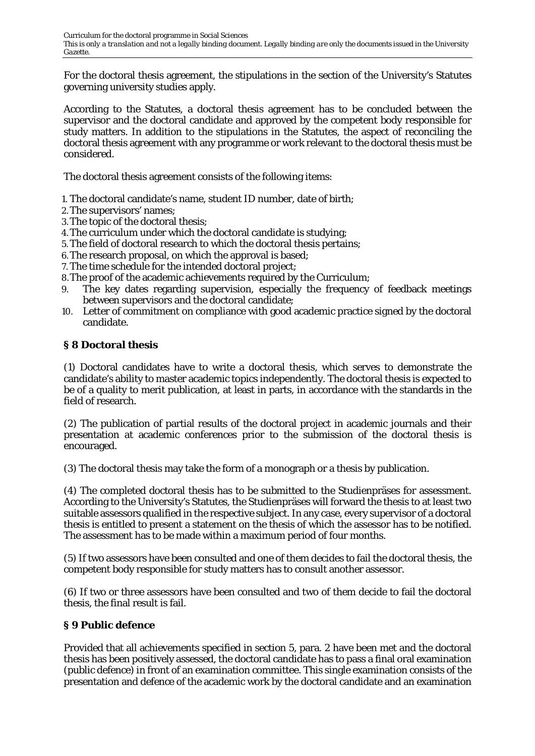For the doctoral thesis agreement, the stipulations in the section of the University's Statutes governing university studies apply.

According to the Statutes, a doctoral thesis agreement has to be concluded between the supervisor and the doctoral candidate and approved by the competent body responsible for study matters. In addition to the stipulations in the Statutes, the aspect of reconciling the doctoral thesis agreement with any programme or work relevant to the doctoral thesis must be considered.

The doctoral thesis agreement consists of the following items:

- 1. The doctoral candidate's name, student ID number, date of birth;
- 2.The supervisors' names;
- 3.The topic of the doctoral thesis;
- 4.The curriculum under which the doctoral candidate is studying;
- 5.The field of doctoral research to which the doctoral thesis pertains;
- 6.The research proposal, on which the approval is based;
- 7. The time schedule for the intended doctoral project;
- 8.The proof of the academic achievements required by the Curriculum;
- 9. The key dates regarding supervision, especially the frequency of feedback meetings between supervisors and the doctoral candidate;
- 10. Letter of commitment on compliance with good academic practice signed by the doctoral candidate.

### **§ 8 Doctoral thesis**

(1) Doctoral candidates have to write a doctoral thesis, which serves to demonstrate the candidate's ability to master academic topics independently. The doctoral thesis is expected to be of a quality to merit publication, at least in parts, in accordance with the standards in the field of research.

(2) The publication of partial results of the doctoral project in academic journals and their presentation at academic conferences prior to the submission of the doctoral thesis is encouraged.

(3) The doctoral thesis may take the form of a monograph or a thesis by publication.

(4) The completed doctoral thesis has to be submitted to the Studienpräses for assessment. According to the University's Statutes, the Studienpräses will forward the thesis to at least two suitable assessors qualified in the respective subject. In any case, every supervisor of a doctoral thesis is entitled to present a statement on the thesis of which the assessor has to be notified. The assessment has to be made within a maximum period of four months.

(5) If two assessors have been consulted and one of them decides to fail the doctoral thesis, the competent body responsible for study matters has to consult another assessor.

(6) If two or three assessors have been consulted and two of them decide to fail the doctoral thesis, the final result is fail.

## **§ 9 Public defence**

Provided that all achievements specified in section 5, para. 2 have been met and the doctoral thesis has been positively assessed, the doctoral candidate has to pass a final oral examination (public defence) in front of an examination committee. This single examination consists of the presentation and defence of the academic work by the doctoral candidate and an examination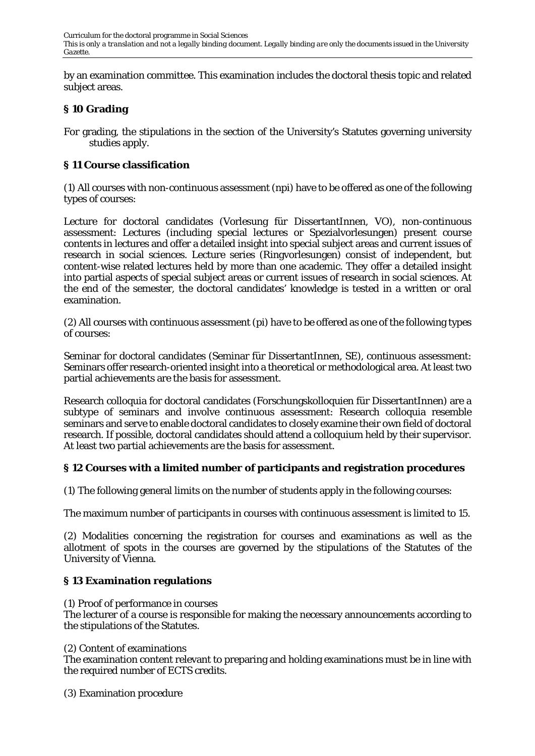by an examination committee. This examination includes the doctoral thesis topic and related subject areas.

### **§ 10 Grading**

For grading, the stipulations in the section of the University's Statutes governing university studies apply.

### **§ 11 Course classification**

(1) All courses with non-continuous assessment (npi) have to be offered as one of the following types of courses:

Lecture for doctoral candidates (Vorlesung für DissertantInnen, VO), non-continuous assessment: Lectures (including special lectures or Spezialvorlesungen) present course contents in lectures and offer a detailed insight into special subject areas and current issues of research in social sciences. Lecture series (Ringvorlesungen) consist of independent, but content-wise related lectures held by more than one academic. They offer a detailed insight into partial aspects of special subject areas or current issues of research in social sciences. At the end of the semester, the doctoral candidates' knowledge is tested in a written or oral examination.

(2) All courses with continuous assessment (pi) have to be offered as one of the following types of courses:

Seminar for doctoral candidates (Seminar für DissertantInnen, SE), continuous assessment: Seminars offer research-oriented insight into a theoretical or methodological area. At least two partial achievements are the basis for assessment.

Research colloquia for doctoral candidates (Forschungskolloquien für DissertantInnen) are a subtype of seminars and involve continuous assessment: Research colloquia resemble seminars and serve to enable doctoral candidates to closely examine their own field of doctoral research. If possible, doctoral candidates should attend a colloquium held by their supervisor. At least two partial achievements are the basis for assessment.

### **§ 12 Courses with a limited number of participants and registration procedures**

(1) The following general limits on the number of students apply in the following courses:

The maximum number of participants in courses with continuous assessment is limited to 15.

(2) Modalities concerning the registration for courses and examinations as well as the allotment of spots in the courses are governed by the stipulations of the Statutes of the University of Vienna.

### **§ 13 Examination regulations**

(1) Proof of performance in courses

The lecturer of a course is responsible for making the necessary announcements according to the stipulations of the Statutes.

(2) Content of examinations

The examination content relevant to preparing and holding examinations must be in line with the required number of ECTS credits.

(3) Examination procedure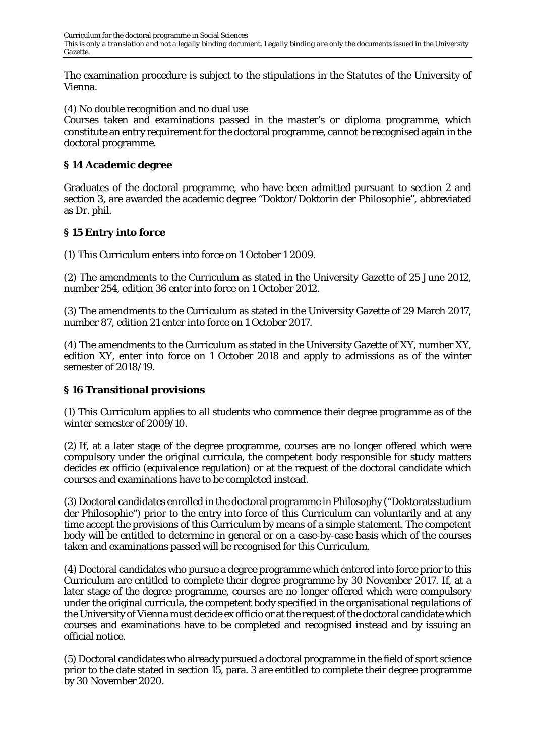The examination procedure is subject to the stipulations in the Statutes of the University of Vienna.

(4) No double recognition and no dual use

Courses taken and examinations passed in the master's or diploma programme, which constitute an entry requirement for the doctoral programme, cannot be recognised again in the doctoral programme.

### **§ 14 Academic degree**

Graduates of the doctoral programme, who have been admitted pursuant to section 2 and section 3, are awarded the academic degree "*Doktor/Doktorin* der Philosophie", abbreviated as Dr. phil.

### **§ 15 Entry into force**

(1) This Curriculum enters into force on 1 October 1 2009.

(2) The amendments to the Curriculum as stated in the University Gazette of 25 June 2012, number 254, edition 36 enter into force on 1 October 2012.

(3) The amendments to the Curriculum as stated in the University Gazette of 29 March 2017, number 87, edition 21 enter into force on 1 October 2017.

(4) The amendments to the Curriculum as stated in the University Gazette of XY, number XY, edition XY, enter into force on 1 October 2018 and apply to admissions as of the winter semester of 2018/19.

### **§ 16 Transitional provisions**

(1) This Curriculum applies to all students who commence their degree programme as of the winter semester of 2009/10.

(2) If, at a later stage of the degree programme, courses are no longer offered which were compulsory under the original curricula, the competent body responsible for study matters decides ex officio (equivalence regulation) or at the request of the doctoral candidate which courses and examinations have to be completed instead.

(3) Doctoral candidates enrolled in the doctoral programme in Philosophy ("Doktoratsstudium der Philosophie") prior to the entry into force of this Curriculum can voluntarily and at any time accept the provisions of this Curriculum by means of a simple statement. The competent body will be entitled to determine in general or on a case-by-case basis which of the courses taken and examinations passed will be recognised for this Curriculum.

(4) Doctoral candidates who pursue a degree programme which entered into force prior to this Curriculum are entitled to complete their degree programme by 30 November 2017. If, at a later stage of the degree programme, courses are no longer offered which were compulsory under the original curricula, the competent body specified in the organisational regulations of the University of Vienna must decide ex officio or at the request of the doctoral candidate which courses and examinations have to be completed and recognised instead and by issuing an official notice.

(5) Doctoral candidates who already pursued a doctoral programme in the field of sport science prior to the date stated in section 15, para. 3 are entitled to complete their degree programme by 30 November 2020.